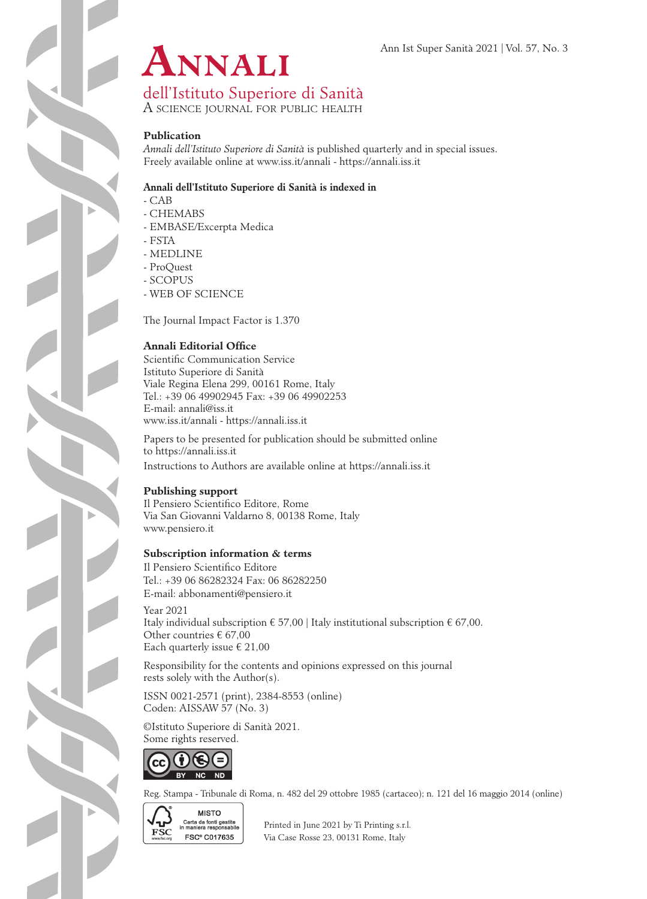

dell'Istituto Superiore di Sanità

A science journal for public health

### **Publication**

*Annali dell'Istituto Superiore di Sanità* is published quarterly and in special issues. Freely available online at www.iss.it/annali - https://annali.iss.it

#### **Annali dell'Istituto Superiore di Sanità is indexed in**

- CAB

- CHEMABS
- EMBASE/Excerpta Medica
- FSTA
- MEDLINE
- ProQuest
- SCOPUS
- WEB OF SCIENCE

The Journal Impact Factor is 1.370

### **Annali Editorial Office**

Scientific Communication Service Istituto Superiore di Sanità Viale Regina Elena 299, 00161 Rome, Italy Tel.: +39 06 49902945 Fax: +39 06 49902253 E-mail: annali@iss.it www.iss.it/annali - https://annali.iss.it

Papers to be presented for publication should be submitted online to https://annali.iss.it Instructions to Authors are available online at https://annali.iss.it

### **Publishing support**

Il Pensiero Scientifico Editore, Rome Via San Giovanni Valdarno 8, 00138 Rome, Italy www.pensiero.it

#### **Subscription information & terms**

Il Pensiero Scientifico Editore Tel.: +39 06 86282324 Fax: 06 86282250 E-mail: abbonamenti@pensiero.it

Year 2021 Italy individual subscription  $\epsilon$  57,00 | Italy institutional subscription  $\epsilon$  67,00. Other countries € 67,00 Each quarterly issue  $\epsilon$  21,00

Responsibility for the contents and opinions expressed on this journal rests solely with the Author(s).

ISSN 0021-2571 (print), 2384-8553 (online) Coden: AISSAW 57 (No. 3)

©Istituto Superiore di Sanità 2021. Some rights reserved.



Reg. Stampa - Tribunale di Roma, n. 482 del 29 ottobre 1985 (cartaceo); n. 121 del 16 maggio 2014 (online)



Garta da fonti gestite<br>
FSC in maniera responsability Printed in June 2021 by Ti Printing s.r.l.<br>
FSC C017635 Vio Case Bosse 23, 00131 Borne, Italy **FSC<sup>®</sup> C017635** Via Case Rosse 23, 00131 Rome, Italy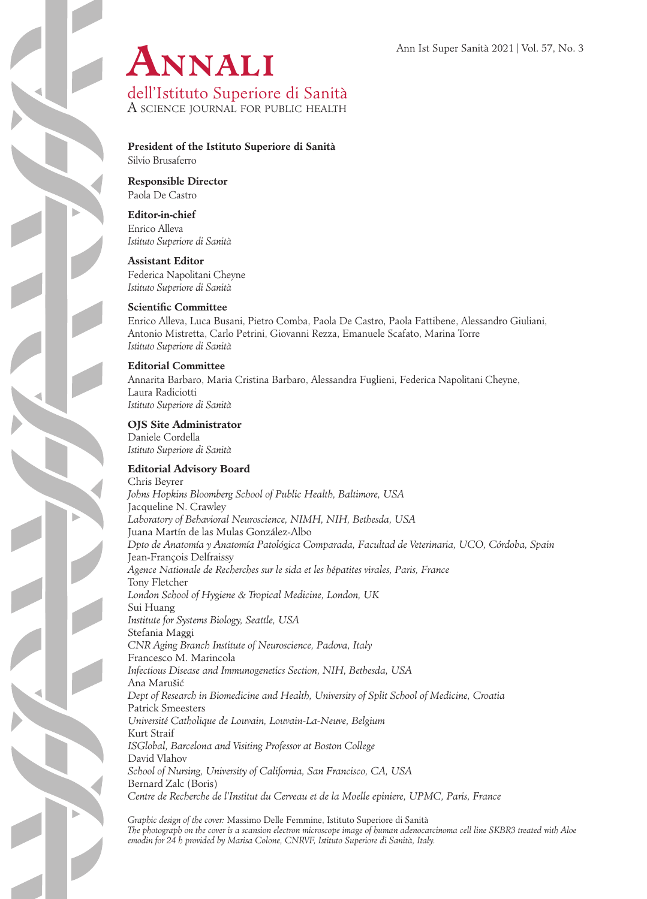

A science journal for public health

# **President of the Istituto Superiore di Sanità**

Silvio Brusaferro

**Responsible Director** Paola De Castro

#### **Editor-in-chief**

Enrico Alleva *Istituto Superiore di Sanità*

#### **Assistant Editor**

Federica Napolitani Cheyne *Istituto Superiore di Sanità*

#### **Scientific Committee**

Enrico Alleva, Luca Busani, Pietro Comba, Paola De Castro, Paola Fattibene, Alessandro Giuliani, Antonio Mistretta, Carlo Petrini, Giovanni Rezza, Emanuele Scafato, Marina Torre *Istituto Superiore di Sanità*

#### **Editorial Committee**

Annarita Barbaro, Maria Cristina Barbaro, Alessandra Fuglieni, Federica Napolitani Cheyne, Laura Radiciotti *Istituto Superiore di Sanità*

#### **OJS Site Administrator** Daniele Cordella

*Istituto Superiore di Sanità*

### **Editorial Advisory Board**

Chris Beyrer *Johns Hopkins Bloomberg School of Public Health, Baltimore, USA* Jacqueline N. Crawley *Laboratory of Behavioral Neuroscience, NIMH, NIH, Bethesda, USA* Juana Martín de las Mulas González-Albo *Dpto de Anatomía y Anatomía Patológica Comparada, Facultad de Veterinaria, UCO, Córdoba, Spain* Jean-François Delfraissy *Agence Nationale de Recherches sur le sida et les hépatites virales, Paris, France* Tony Fletcher *London School of Hygiene & Tropical Medicine, London, UK* Sui Huang *Institute for Systems Biology, Seattle, USA*  Stefania Maggi *CNR Aging Branch Institute of Neuroscience, Padova, Italy*  Francesco M. Marincola *Infectious Disease and Immunogenetics Section, NIH, Bethesda, USA* Ana Marušic´ *Dept of Research in Biomedicine and Health, University of Split School of Medicine, Croatia*  Patrick Smeesters *Université Catholique de Louvain, Louvain-La-Neuve, Belgium* Kurt Straif *ISGlobal, Barcelona and Visiting Professor at Boston College* David Vlahov *School of Nursing, University of California, San Francisco, CA, USA* Bernard Zalc (Boris) *Centre de Recherche de l'Institut du Cerveau et de la Moelle epiniere, UPMC, Paris, France*

*Graphic design of the cover:* Massimo Delle Femmine, Istituto Superiore di Sanità *The photograph on the cover is a scansion electron microscope image of human adenocarcinoma cell line SKBR3 treated with Aloe emodin for 24 h provided by Marisa Colone, CNRVF, Istituto Superiore di Sanità, Italy.*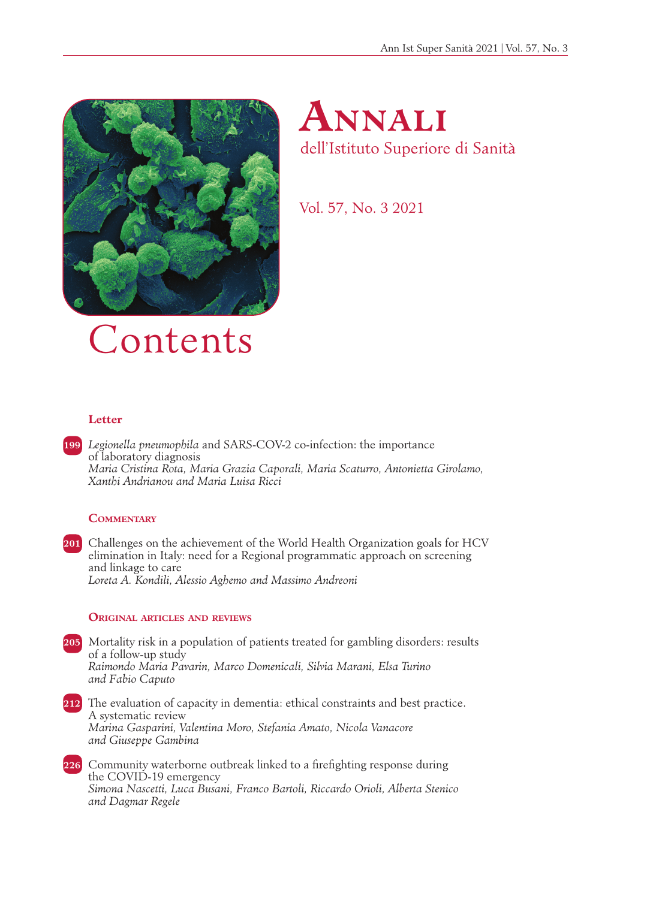



Vol. 57, No. 3 2021

# Contents

# **Letter**

**199** *Legionella pneumophila* and SARS-COV-2 co-infection: the importance of laboratory diagnosis *Maria Cristina Rota, Maria Grazia Caporali, Maria Scaturro, Antonietta Girolamo, Xanthi Andrianou and Maria Luisa Ricci*

# **Commentary**

**201** Challenges on the achievement of the World Health Organization goals for HCV elimination in Italy: need for a Regional programmatic approach on screening and linkage to care *Loreta A. Kondili, Alessio Aghemo and Massimo Andreoni*

#### **Original articles and reviews**

- **205** Mortality risk in a population of patients treated for gambling disorders: results of a follow-up study *Raimondo Maria Pavarin, Marco Domenicali, Silvia Marani, Elsa Turino and Fabio Caputo*
- **212** The evaluation of capacity in dementia: ethical constraints and best practice. A systematic review *Marina Gasparini, Valentina Moro, Stefania Amato, Nicola Vanacore and Giuseppe Gambina*
- **226** Community waterborne outbreak linked to a firefighting response during the COVID-19 emergency *Simona Nascetti, Luca Busani, Franco Bartoli, Riccardo Orioli, Alberta Stenico and Dagmar Regele*